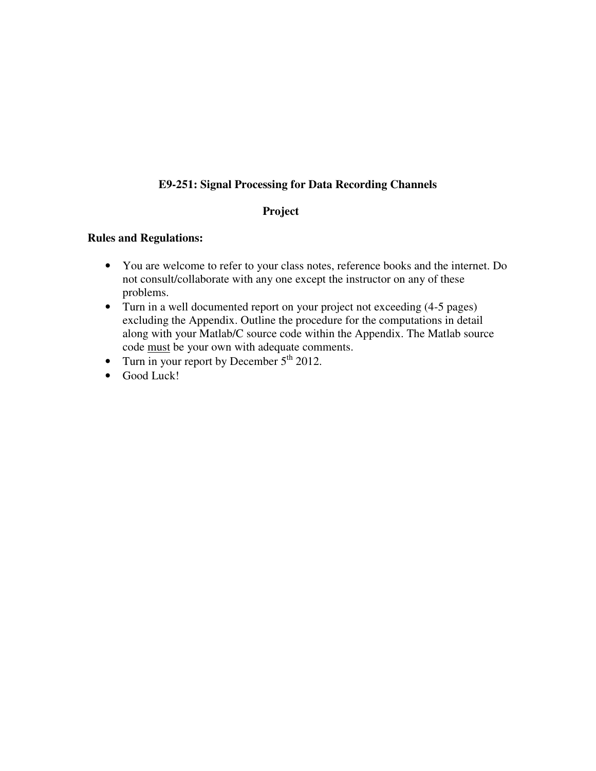## **E9-251: Signal Processing for Data Recording Channels**

## **Project**

## **Rules and Regulations:**

- You are welcome to refer to your class notes, reference books and the internet. Do not consult/collaborate with any one except the instructor on any of these problems.
- Turn in a well documented report on your project not exceeding (4-5 pages) excluding the Appendix. Outline the procedure for the computations in detail along with your Matlab/C source code within the Appendix. The Matlab source code must be your own with adequate comments.
- Turn in your report by December  $5<sup>th</sup> 2012$ .
- Good Luck!